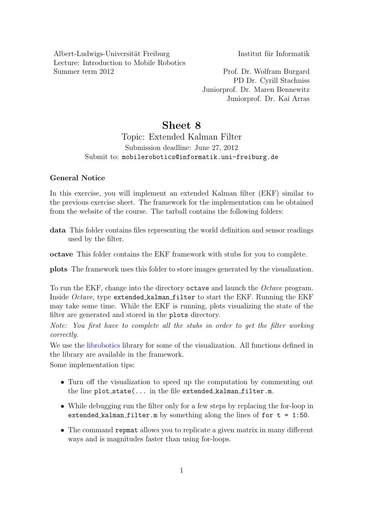Albert-Ludwigs-Universität Freiburg Institut für Informatik Lecture: Introduction to Mobile Robotics Summer term 2012 Prof. Dr. Wolfram Burgard

PD Dr. Cyrill Stachniss Juniorprof. Dr. Maren Bennewitz Juniorprof. Dr. Kai Arras

# Sheet 8

## Topic: Extended Kalman Filter Submission deadline: June 27, 2012 Submit to: mobilerobotics@informatik.uni-freiburg.de

### General Notice

In this exercise, you will implement an extended Kalman filter (EKF) similar to the previous exercise sheet. The framework for the implementation can be obtained from the website of the course. The tarball contains the following folders:

data This folder contains files representing the world definition and sensor readings used by the filter.

octave This folder contains the EKF framework with stubs for you to complete.

plots The framework uses this folder to store images generated by the visualization.

To run the EKF, change into the directory octave and launch the Octave program. Inside Octave, type extended kalman filter to start the EKF. Running the EKF may take some time. While the EKF is running, plots visualizing the state of the filter are generated and stored in the plots directory.

Note: You first have to complete all the stubs in order to get the filter working correctly.

We use the [librobotics](http://srl.informatik.uni-freiburg.de/downloads) library for some of the visualization. All functions defined in the library are available in the framework.

Some implementation tips:

- Turn off the visualization to speed up the computation by commenting out the line  $plot\_state(...$  in the file extended kalman filter.m.
- While debugging run the filter only for a few steps by replacing the for-loop in extended kalman filter.m by something along the lines of for  $t = 1:50$ .
- The command repmat allows you to replicate a given matrix in many different ways and is magnitudes faster than using for-loops.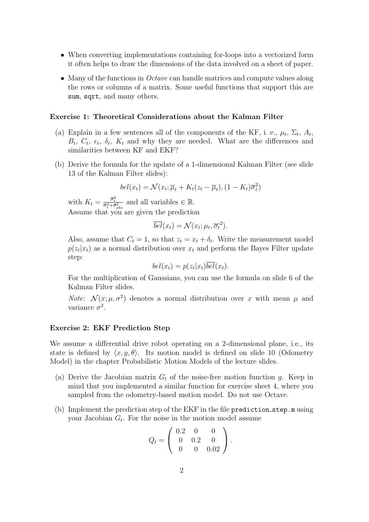- When converting implementations containing for-loops into a vectorized form it often helps to draw the dimensions of the data involved on a sheet of paper.
- Many of the functions in *Octave* can handle matrices and compute values along the rows or columns of a matrix. Some useful functions that support this are sum, sqrt, and many others.

#### Exercise 1: Theoretical Considerations about the Kalman Filter

- (a) Explain in a few sentences all of the components of the KF, i. e.,  $\mu_t$ ,  $\Sigma_t$ ,  $A_t$ ,  $B_t$ ,  $C_t$ ,  $\epsilon_t$ ,  $\delta_t$ ,  $K_t$  and why they are needed. What are the differences and similarities between KF and EKF?
- (b) Derive the formula for the update of a 1-dimensional Kalman Filter (see slide 13 of the Kalman Filter slides):

$$
bel(x_t) = \mathcal{N}(x_t; \overline{\mu}_t + K_t(z_t - \overline{\mu}_t), (1 - K_t)\overline{\sigma}_t^2)
$$

with  $K_t = \frac{\overline{\sigma}_t^2}{\overline{\sigma}_t^2 + \overline{\sigma}_{obs}^2}$  and all variables  $\in \mathbb{R}$ . Assume that you are given the prediction

$$
\overline{bel}(x_t) = \mathcal{N}(x_t; \mu_t, \overline{\sigma_t}^2).
$$

Also, assume that  $C_t = 1$ , so that  $z_t = x_t + \delta_t$ . Write the measurement model  $p(z_t|x_t)$  as a normal distribution over  $x_t$  and perform the Bayes Filter update step:

$$
bel(x_t) = p(z_t|x_t)\overline{bel}(x_t).
$$

For the multiplication of Gaussians, you can use the formula on slide 6 of the Kalman Filter slides.

*Note*:  $\mathcal{N}(x; \mu, \sigma^2)$  denotes a normal distribution over x with mean  $\mu$  and variance  $\sigma^2$ .

#### Exercise 2: EKF Prediction Step

We assume a differential drive robot operating on a 2-dimensional plane, i.e., its state is defined by  $\langle x, y, \theta \rangle$ . Its motion model is defined on slide 10 (Odometry Model) in the chapter Probabilistic Motion Models of the lecture slides.

- (a) Derive the Jacobian matrix  $G_t$  of the noise-free motion function g. Keep in mind that you implemented a similar function for exercise sheet 4, where you sampled from the odometry-based motion model. Do not use Octave.
- (b) Implement the prediction step of the EKF in the file prediction step.m using your Jacobian  $G_t$ . For the noise in the motion model assume

$$
Q_t = \left(\begin{array}{ccc} 0.2 & 0 & 0 \\ 0 & 0.2 & 0 \\ 0 & 0 & 0.02 \end{array}\right).
$$